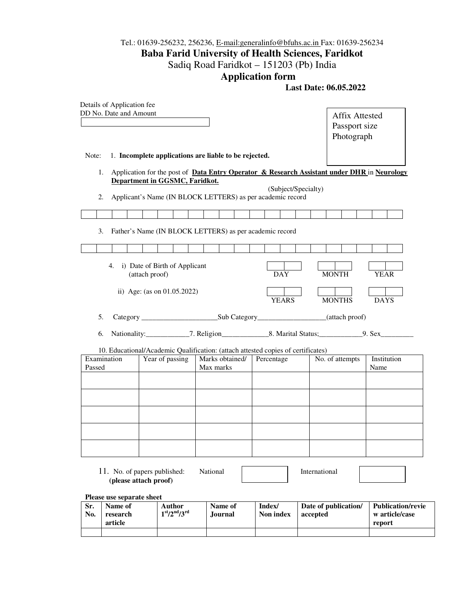## Tel.: 01639-256232, 256236, E-mail:generalinfo@bfuhs.ac.in Fax: 01639-256234 **Baba Farid University of Health Sciences, Faridkot**  Sadiq Road Faridkot – 151203 (Pb) India

## **Application form**

 **Last Date: 06.05.2022** 

|                                              | Details of Application fee<br>DD No. Date and Amount                                                                          |                                |  |                           |  |                     |                              |                                  |  |                                                      |                     |  |               | Passport size<br>Photograph |  | <b>Affix Attested</b> |             |  |
|----------------------------------------------|-------------------------------------------------------------------------------------------------------------------------------|--------------------------------|--|---------------------------|--|---------------------|------------------------------|----------------------------------|--|------------------------------------------------------|---------------------|--|---------------|-----------------------------|--|-----------------------|-------------|--|
| Note:                                        | 1. Incomplete applications are liable to be rejected.                                                                         |                                |  |                           |  |                     |                              |                                  |  |                                                      |                     |  |               |                             |  |                       |             |  |
| 1.                                           | Application for the post of Data Entry Operator & Research Assistant under DHR in Neurology<br>Department in GGSMC, Faridkot. |                                |  |                           |  |                     |                              |                                  |  |                                                      |                     |  |               |                             |  |                       |             |  |
| 2.                                           | Applicant's Name (IN BLOCK LETTERS) as per academic record                                                                    |                                |  |                           |  |                     |                              |                                  |  |                                                      | (Subject/Specialty) |  |               |                             |  |                       |             |  |
|                                              |                                                                                                                               |                                |  |                           |  |                     |                              |                                  |  |                                                      |                     |  |               |                             |  |                       |             |  |
| 3.                                           | Father's Name (IN BLOCK LETTERS) as per academic record                                                                       |                                |  |                           |  |                     |                              |                                  |  |                                                      |                     |  |               |                             |  |                       |             |  |
|                                              |                                                                                                                               |                                |  |                           |  |                     |                              |                                  |  |                                                      |                     |  |               |                             |  |                       |             |  |
|                                              | i) Date of Birth of Applicant<br>4.                                                                                           | (attach proof)                 |  |                           |  |                     |                              |                                  |  |                                                      | DAY                 |  | <b>MONTH</b>  |                             |  | <b>YEAR</b>           |             |  |
|                                              | ii) Age: (as on $01.05.2022$ )                                                                                                |                                |  |                           |  |                     |                              |                                  |  |                                                      | <b>YEARS</b>        |  | <b>MONTHS</b> |                             |  | <b>DAYS</b>           |             |  |
| 5.                                           |                                                                                                                               |                                |  |                           |  |                     |                              |                                  |  |                                                      |                     |  |               |                             |  |                       |             |  |
| 6.                                           |                                                                                                                               |                                |  |                           |  |                     |                              |                                  |  |                                                      |                     |  |               |                             |  |                       |             |  |
|                                              | 10. Educational/Academic Qualification: (attach attested copies of certificates)                                              |                                |  |                           |  |                     |                              |                                  |  |                                                      |                     |  |               |                             |  |                       |             |  |
| Passed                                       | Examination                                                                                                                   |                                |  | Year of passing           |  |                     | Marks obtained/<br>Max marks |                                  |  | Percentage                                           |                     |  |               | No. of attempts             |  | Name                  | Institution |  |
|                                              |                                                                                                                               |                                |  |                           |  |                     |                              |                                  |  |                                                      |                     |  |               |                             |  |                       |             |  |
|                                              |                                                                                                                               |                                |  |                           |  |                     |                              |                                  |  |                                                      |                     |  |               |                             |  |                       |             |  |
|                                              |                                                                                                                               |                                |  |                           |  |                     |                              |                                  |  |                                                      |                     |  |               |                             |  |                       |             |  |
|                                              |                                                                                                                               |                                |  |                           |  |                     |                              |                                  |  |                                                      |                     |  |               |                             |  |                       |             |  |
|                                              |                                                                                                                               |                                |  |                           |  |                     |                              |                                  |  |                                                      |                     |  |               |                             |  |                       |             |  |
|                                              | 11. No. of papers published:<br>(please attach proof)                                                                         |                                |  |                           |  | National            |                              |                                  |  |                                                      |                     |  | International |                             |  |                       |             |  |
|                                              | Please use separate sheet                                                                                                     |                                |  |                           |  |                     |                              |                                  |  |                                                      |                     |  |               |                             |  |                       |             |  |
| Name of<br>Sr.<br>No.<br>research<br>article |                                                                                                                               | <b>Author</b><br>$1st/2nd/3rd$ |  | Name of<br><b>Journal</b> |  | Index/<br>Non index |                              | Date of publication/<br>accepted |  | <b>Publication/revie</b><br>w article/case<br>report |                     |  |               |                             |  |                       |             |  |